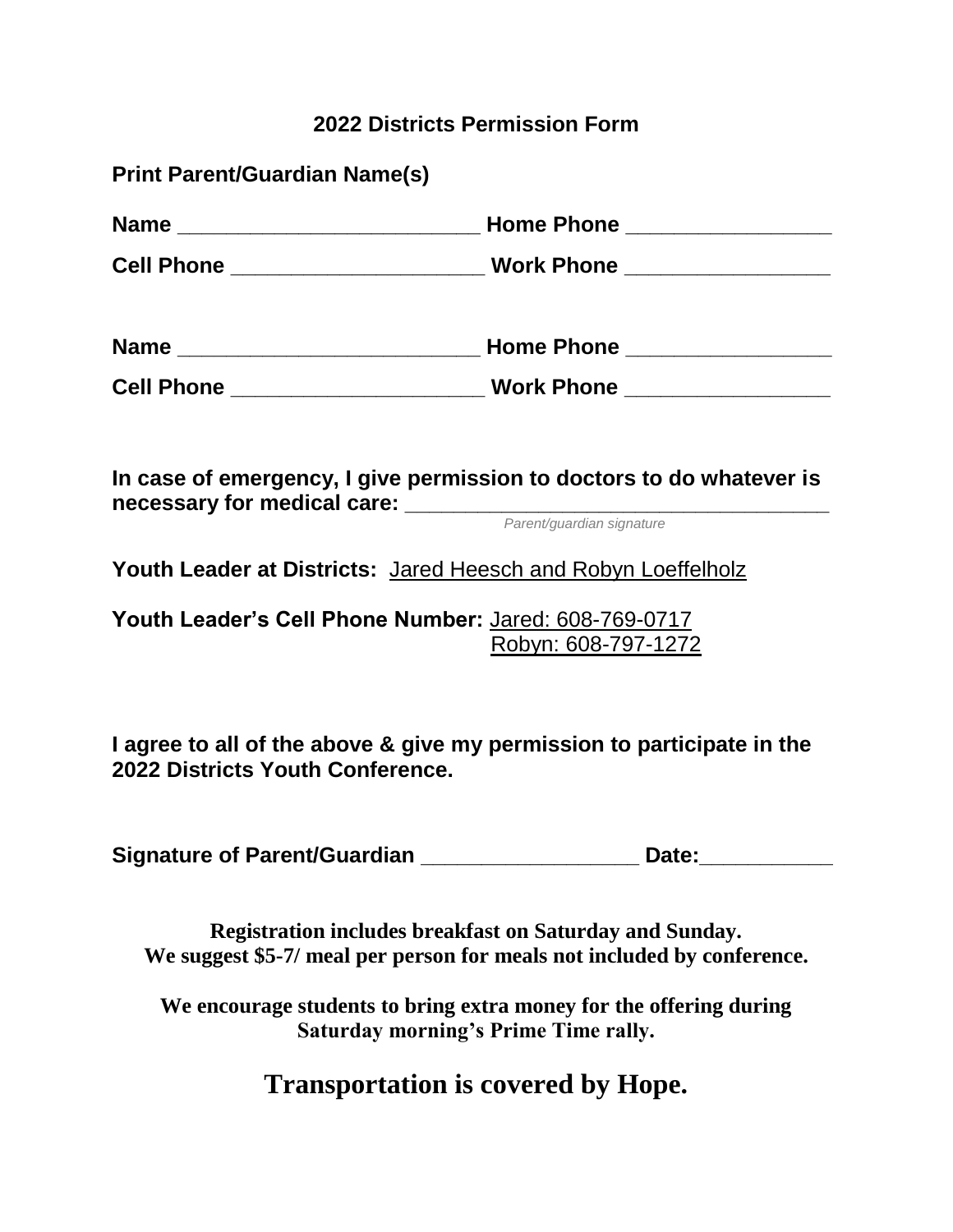#### **2022 Districts Permission Form**

**Print Parent/Guardian Name(s)**

| Name _________________________   | Home Phone ___________________                                                                                                                                                                                                                            |  |
|----------------------------------|-----------------------------------------------------------------------------------------------------------------------------------------------------------------------------------------------------------------------------------------------------------|--|
| Cell Phone _____________________ | Work Phone __________________                                                                                                                                                                                                                             |  |
| Name _______________________     | Home Phone __________________                                                                                                                                                                                                                             |  |
| Cell Phone _                     | <b>Work Phone</b><br><u> 1999 - John Harry Harry Harry Harry Harry Harry Harry Harry Harry Harry Harry Harry Harry Harry Harry Harry Harry Harry Harry Harry Harry Harry Harry Harry Harry Harry Harry Harry Harry Harry Harry Harry Harry Harry Harr</u> |  |

**In case of emergency, I give permission to doctors to do whatever is necessary for medical care: \_\_\_\_\_\_\_\_\_\_\_\_\_\_\_\_\_\_\_\_\_\_\_\_\_\_\_\_\_\_\_\_\_\_\_**

*Parent/guardian signature*

**Youth Leader at Districts:** Jared Heesch and Robyn Loeffelholz

**Youth Leader's Cell Phone Number:** Jared: 608-769-0717 Robyn: 608-797-1272

**I agree to all of the above & give my permission to participate in the 2022 Districts Youth Conference.** 

**Signature of Parent/Guardian \_\_\_\_\_\_\_\_\_\_\_\_\_\_\_\_\_\_ Date:\_\_\_\_\_\_\_\_\_\_\_**

**Registration includes breakfast on Saturday and Sunday. We suggest \$5-7/ meal per person for meals not included by conference.**

**We encourage students to bring extra money for the offering during Saturday morning's Prime Time rally.** 

**Transportation is covered by Hope.**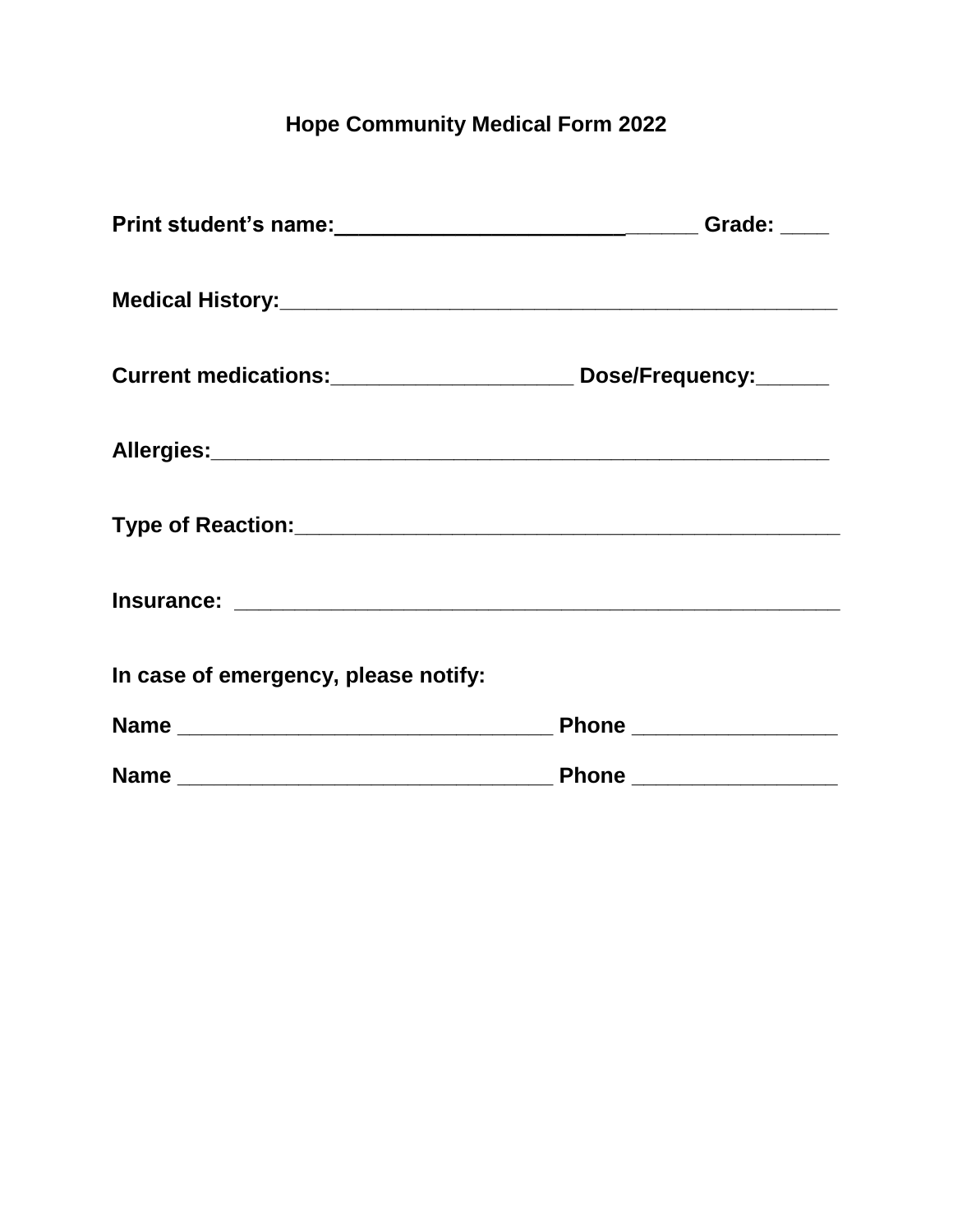#### **Hope Community Medical Form 2022**

|                                                                               | Grade: $\_\_$           |
|-------------------------------------------------------------------------------|-------------------------|
|                                                                               |                         |
| Current medications: _______________________________ Dose/Frequency: ________ |                         |
|                                                                               |                         |
|                                                                               |                         |
|                                                                               |                         |
| In case of emergency, please notify:                                          |                         |
|                                                                               | Phone _________________ |
|                                                                               | Phone _________________ |